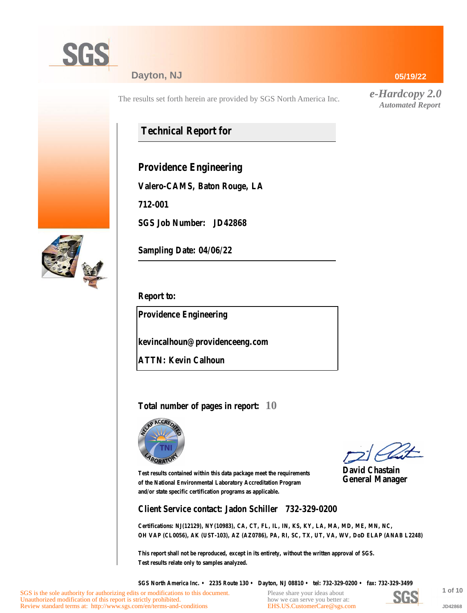

#### **Dayton, NJ**

The results set forth herein are provided by SGS North America Inc.

## **Technical Report for**

**Providence Engineering**

**Valero-CAMS, Baton Rouge, LA**

**712-001**

**SGS Job Number: JD42868**

**Sampling Date: 04/06/22**

**Report to:**

**Providence Engineering**

**kevincalhoun@providenceeng.com**

**ATTN: Kevin Calhoun**

**Total number of pages in report: 10**



Review standard terms at: http://www.sgs.com/en/terms-and-conditions

**David Chastain General Manager**

**Test results contained within this data package meet the requirements of the National Environmental Laboratory Accreditation Program and/or state specific certification programs as applicable.**

**Client Service contact: Jadon Schiller 732-329-0200**

**Certifications: NJ(12129), NY(10983), CA, CT, FL, IL, IN, KS, KY, LA, MA, MD, ME, MN, NC, OH VAP (CL0056), AK (UST-103), AZ (AZ0786), PA, RI, SC, TX, UT, VA, WV, DoD ELAP (ANAB L2248)**

**This report shall not be reproduced, except in its entirety, without the written approval of SGS. Test results relate only to samples analyzed.**

**SGS North America Inc. • 2235 Route 130 • Dayton, NJ 08810 • tel: 732-329-0200 • fax: 732-329-3499**



SGS is the sole authority for authorizing edits or modifications to this document. Unauthorized modification of this report is strictly prohibited.

**JD42868**

**05/19/22**

*e-Hardcopy 2.0 Automated Report*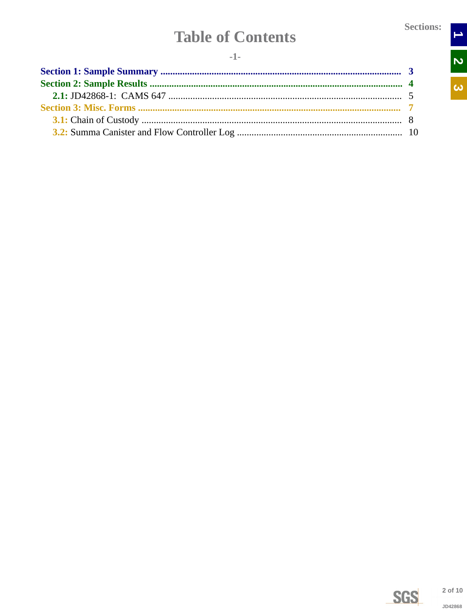$\rightarrow$ 

N<br>N

 $\overline{\omega}$ 

# **Table of Contents**

<span id="page-1-0"></span>

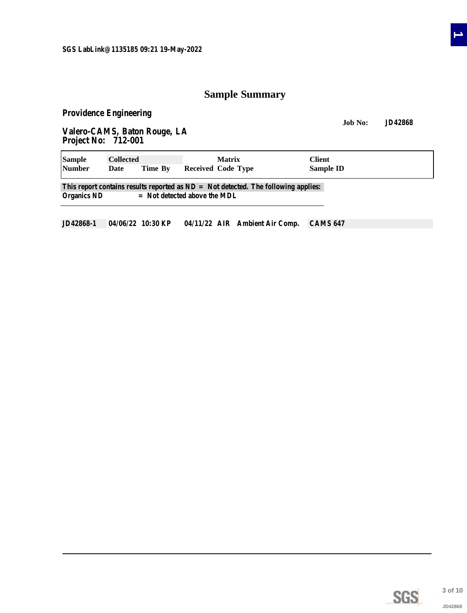### **Sample Summary**

<span id="page-2-0"></span>**Providence Engineering**

'n

**Job No: JD42868 Valero-CAMS, Baton Rouge, LA Project No: 712-001**

| <b>Sample</b><br><b>Collected</b> |      |         | <b>Matrix</b>                                                                                                          | Client           |  |
|-----------------------------------|------|---------|------------------------------------------------------------------------------------------------------------------------|------------------|--|
| <b>Number</b>                     | Date | Time By | <b>Received Code Type</b>                                                                                              | <b>Sample ID</b> |  |
| Organics ND                       |      |         | This report contains results reported as $ND = Not$ detected. The following applies:<br>$=$ Not detected above the MDL |                  |  |
|                                   |      |         |                                                                                                                        |                  |  |

**JD42868-1 04/06/22 10:30 KP 04/11/22 AIR Ambient Air Comp. CAMS 647**



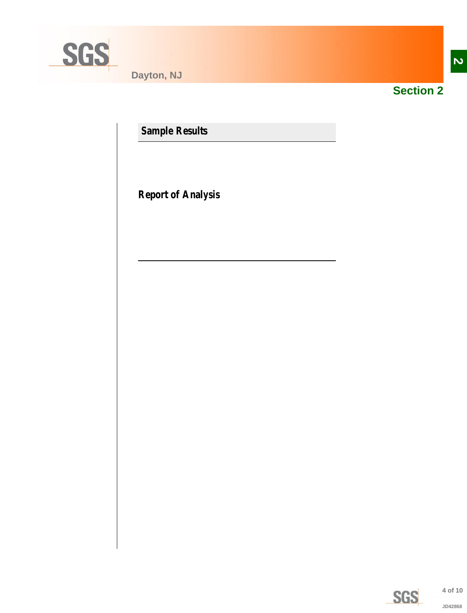<span id="page-3-0"></span>

**Dayton, NJ**



**Section 2**

**Sample Results**

**Report of Analysis**

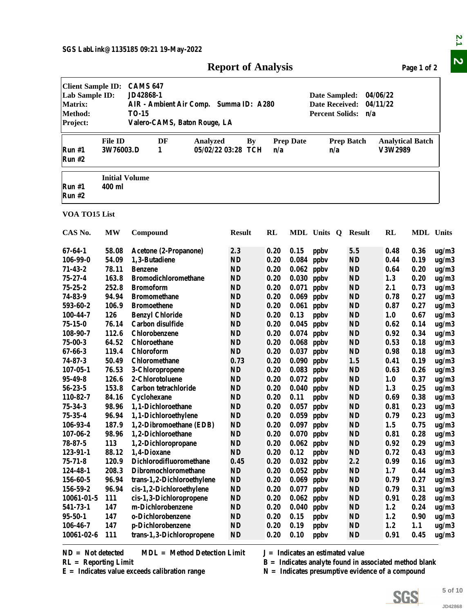| <b>Report of Analysis</b> |  |
|---------------------------|--|
|---------------------------|--|

<span id="page-4-0"></span>

|                                                                                            |                                 |                                                                                                                        | <b>Report of Analysis</b>       |              |                  |                                                                                                                                                      |                        |                                    | Page 1 of 2  |                |
|--------------------------------------------------------------------------------------------|---------------------------------|------------------------------------------------------------------------------------------------------------------------|---------------------------------|--------------|------------------|------------------------------------------------------------------------------------------------------------------------------------------------------|------------------------|------------------------------------|--------------|----------------|
| <b>Client Sample ID:</b><br>Lab Sample ID:<br><b>Matrix:</b><br><b>Method:</b><br>Project: |                                 | <b>CAMS 647</b><br>JD42868-1<br>AIR - Ambient Air Comp. Summa ID: A280<br><b>TO-15</b><br>Valero-CAMS, Baton Rouge, LA |                                 |              |                  | Date Sampled:<br><b>Date Received:</b><br><b>Percent Solids:</b>                                                                                     | n/a                    | 04/06/22<br>04/11/22               |              |                |
| Run #1<br>Run #2                                                                           | <b>File ID</b><br>3W76003.D     | DF<br>Analyzed<br>1                                                                                                    | <b>By</b><br>05/02/22 03:28 TCH | n/a          | <b>Prep Date</b> | n/a                                                                                                                                                  | <b>Prep Batch</b>      | <b>Analytical Batch</b><br>V3W2989 |              |                |
| Run #1<br>Run #2                                                                           | <b>Initial Volume</b><br>400 ml |                                                                                                                        |                                 |              |                  |                                                                                                                                                      |                        |                                    |              |                |
| VOA TO15 List                                                                              |                                 |                                                                                                                        |                                 |              |                  |                                                                                                                                                      |                        |                                    |              |                |
| CAS No.                                                                                    | <b>MW</b>                       | Compound                                                                                                               | <b>Result</b>                   | RL           |                  | MDL Units Q Result                                                                                                                                   |                        | RL                                 | MDL Units    |                |
| 67-64-1                                                                                    | 58.08                           | Acetone (2-Propanone)                                                                                                  | 2.3                             | 0.20         | 0.15             | ppby                                                                                                                                                 | 5.5                    | 0.48                               | 0.36         | ug/m3          |
| $106 - 99 - 0$                                                                             | 54.09                           | 1,3-Butadiene                                                                                                          | <b>ND</b>                       | 0.20         | 0.084            | ppby                                                                                                                                                 | <b>ND</b>              | 0.44                               | 0.19         | ug/m3          |
| $71 - 43 - 2$                                                                              | 78.11                           | <b>Benzene</b>                                                                                                         | <b>ND</b>                       | 0.20         | 0.062            | ppby                                                                                                                                                 | <b>ND</b>              | 0.64                               | 0.20         | ug/m3          |
| 75-27-4                                                                                    | 163.8                           | <b>Bromodichloromethane</b>                                                                                            | <b>ND</b>                       | 0.20         | 0.030            | ppby                                                                                                                                                 | <b>ND</b>              | 1.3                                | 0.20         | ug/m3          |
| $75 - 25 - 2$                                                                              | 252.8                           | <b>Bromoform</b>                                                                                                       | <b>ND</b>                       | 0.20         | 0.071            | ppby                                                                                                                                                 | <b>ND</b>              | 2.1                                | 0.73         | ug/m3          |
| 74-83-9                                                                                    | 94.94                           | <b>Bromomethane</b>                                                                                                    | <b>ND</b>                       | 0.20         | 0.069            | ppby                                                                                                                                                 | <b>ND</b>              | 0.78                               | 0.27         | ug/m3          |
| 593-60-2                                                                                   | 106.9                           | <b>Bromoethene</b>                                                                                                     | <b>ND</b>                       | 0.20         |                  | $0.061$ ppbv                                                                                                                                         | <b>ND</b>              | 0.87                               | 0.27         | ug/m3          |
| 100-44-7                                                                                   | 126                             | <b>Benzyl Chloride</b>                                                                                                 | <b>ND</b>                       | 0.20         | 0.13             | ppby                                                                                                                                                 | <b>ND</b>              | 1.0                                | 0.67         | ug/m3          |
| 75-15-0                                                                                    | 76.14                           | Carbon disulfide                                                                                                       | <b>ND</b>                       | 0.20         |                  | $0.045$ ppbv                                                                                                                                         | <b>ND</b>              | 0.62                               | 0.14         | ug/m3          |
| 108-90-7                                                                                   | 112.6                           | Chlorobenzene                                                                                                          | <b>ND</b>                       | 0.20         | 0.074            | ppby                                                                                                                                                 | <b>ND</b>              | 0.92                               | 0.34         | ug/m3          |
| $75 - 00 - 3$                                                                              | 64.52                           | <b>Chloroethane</b>                                                                                                    | ND                              | 0.20         | 0.068            | ppby                                                                                                                                                 | ND                     | 0.53                               | 0.18         | ug/m3          |
| $67 - 66 - 3$                                                                              | 119.4                           | Chloroform                                                                                                             | ND                              | 0.20         | 0.037            | ppby                                                                                                                                                 | <b>ND</b>              | 0.98                               | 0.18         | ug/m3          |
| $74 - 87 - 3$                                                                              | 50.49                           | Chloromethane                                                                                                          | 0.73                            | 0.20         | 0.090            | ppby                                                                                                                                                 | 1.5                    | 0.41                               | 0.19         | ug/m3          |
| $107 - 05 - 1$                                                                             | 76.53                           | 3-Chloropropene                                                                                                        | <b>ND</b>                       | 0.20         | 0.083            | ppby                                                                                                                                                 | <b>ND</b>              | 0.63                               | 0.26         | ug/m3          |
| 95-49-8                                                                                    | 126.6                           | 2-Chlorotoluene                                                                                                        | <b>ND</b>                       | 0.20         | $0.072$ ppbv     |                                                                                                                                                      | <b>ND</b>              | 1.0                                | 0.37         | ug/m3          |
| $56 - 23 - 5$                                                                              | 153.8                           | Carbon tetrachloride                                                                                                   | <b>ND</b>                       | 0.20         |                  | $0.040$ ppbv                                                                                                                                         | <b>ND</b>              | 1.3                                | 0.25         | ug/m3          |
| 110-82-7                                                                                   | 84.16                           | Cyclohexane                                                                                                            | <b>ND</b>                       | 0.20         | 0.11             | ppby                                                                                                                                                 | <b>ND</b>              | 0.69                               | 0.38         | ug/m3          |
| 75-34-3                                                                                    | 98.96                           | 1,1-Dichloroethane                                                                                                     | <b>ND</b>                       | 0.20         |                  | $0.057$ ppbv                                                                                                                                         | <b>ND</b>              | 0.81                               | 0.23         | ug/m3          |
| $75 - 35 - 4$                                                                              | 96.94                           | 1,1-Dichloroethylene                                                                                                   | $\mathbf{ND}$                   | 0.20         |                  | $0.059$ ppbv                                                                                                                                         | <b>ND</b>              | 0.79                               | 0.23         | ug/m3          |
| 106-93-4<br>$107 - 06 - 2$                                                                 | 187.9<br>98.96                  | 1,2-Dibromoethane (EDB)<br>1,2-Dichloroethane                                                                          | <b>ND</b><br><b>ND</b>          | 0.20<br>0.20 |                  | $0.097$ ppbv                                                                                                                                         | <b>ND</b>              | 1.5                                | 0.75         | ug/m3          |
| $78 - 87 - 5$                                                                              | 113                             | 1,2-Dichloropropane                                                                                                    | <b>ND</b>                       | 0.20         | $0.062$ ppbv     | $0.070$ ppbv                                                                                                                                         | <b>ND</b><br><b>ND</b> | 0.81<br>0.92                       | 0.28<br>0.29 | ug/m3<br>ug/m3 |
| 123-91-1                                                                                   | 88.12                           | 1,4-Dioxane                                                                                                            | <b>ND</b>                       | 0.20         | 0.12             | ppby                                                                                                                                                 | <b>ND</b>              | 0.72                               | 0.43         | ug/m3          |
| $75 - 71 - 8$                                                                              | 120.9                           | Dichlorodifluoromethane                                                                                                | 0.45                            | 0.20         |                  | $0.032$ ppbv                                                                                                                                         | 2.2                    | 0.99                               | 0.16         | ug/m3          |
| 124-48-1                                                                                   | 208.3                           | Dibromochloromethane                                                                                                   | <b>ND</b>                       | 0.20         |                  | $0.052$ ppbv                                                                                                                                         | <b>ND</b>              | 1.7                                | 0.44         | ug/m3          |
| 156-60-5                                                                                   | 96.94                           | trans-1,2-Dichloroethylene                                                                                             | <b>ND</b>                       | 0.20         |                  | $0.069$ ppbv                                                                                                                                         | <b>ND</b>              | 0.79                               | 0.27         | ug/m3          |
| 156-59-2                                                                                   | 96.94                           | cis-1,2-Dichloroethylene                                                                                               | <b>ND</b>                       | 0.20         | 0.077            | ppby                                                                                                                                                 | <b>ND</b>              | 0.79                               | 0.31         | ug/m3          |
| 10061-01-5                                                                                 | 111                             | cis-1,3-Dichloropropene                                                                                                | $\mathbf{ND}$                   | 0.20         | 0.062            | ppby                                                                                                                                                 | <b>ND</b>              | 0.91                               | 0.28         | ug/m3          |
| 541-73-1                                                                                   | 147                             | m-Dichlorobenzene                                                                                                      | <b>ND</b>                       | 0.20         | 0.040            | ppby                                                                                                                                                 | <b>ND</b>              | 1.2                                | 0.24         | ug/m3          |
| 95-50-1                                                                                    | 147                             | o-Dichlorobenzene                                                                                                      | <b>ND</b>                       | 0.20         | 0.15             | ppby                                                                                                                                                 | <b>ND</b>              | 1.2                                | 0.90         | ug/m3          |
| 106-46-7                                                                                   | 147                             | p-Dichlorobenzene                                                                                                      | <b>ND</b>                       | 0.20         | 0.19             | ppby                                                                                                                                                 | <b>ND</b>              | 1.2                                | 1.1          | ug/m3          |
| 10061-02-6                                                                                 | 111                             | trans-1,3-Dichloropropene                                                                                              | <b>ND</b>                       | 0.20         | 0.10             | ppby                                                                                                                                                 | <b>ND</b>              | 0.91                               | 0.45         | ug/m3          |
| $ND = Not detected$<br>$RL =$ Reporting Limit                                              |                                 | <b>MDL</b> = Method Detection Limit<br>$E =$ Indicates value exceeds calibration range                                 |                                 |              |                  | $J = Indicates$ an estimated value<br>$B =$ Indicates analyte found in associated method blank<br>$N =$ Indicates presumptive evidence of a compound |                        |                                    |              |                |
|                                                                                            |                                 |                                                                                                                        |                                 |              |                  |                                                                                                                                                      |                        |                                    |              | 5 of 10        |
|                                                                                            |                                 |                                                                                                                        |                                 |              |                  |                                                                                                                                                      |                        | SGS                                |              |                |
|                                                                                            |                                 |                                                                                                                        |                                 |              |                  |                                                                                                                                                      |                        |                                    |              | JD42868        |

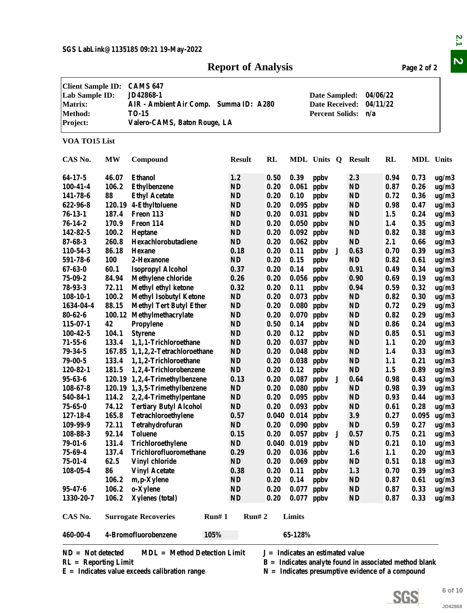#### **Report of Analysis Page 2 of 2**

|                                                                                            |            |                                                                                                                        | <b>Report of Analysis</b> |                                                                  |                      |                                    |   |                                                          |                      | Page 2 of 2      |         |
|--------------------------------------------------------------------------------------------|------------|------------------------------------------------------------------------------------------------------------------------|---------------------------|------------------------------------------------------------------|----------------------|------------------------------------|---|----------------------------------------------------------|----------------------|------------------|---------|
| <b>Client Sample ID:</b><br>Lab Sample ID:<br><b>Matrix:</b><br><b>Method:</b><br>Project: |            | <b>CAMS 647</b><br>JD42868-1<br>AIR - Ambient Air Comp. Summa ID: A280<br><b>TO-15</b><br>Valero-CAMS, Baton Rouge, LA |                           | Date Sampled:<br><b>Date Received:</b><br><b>Percent Solids:</b> |                      |                                    |   |                                                          | 04/06/22<br>04/11/22 |                  |         |
| VOA TO15 List                                                                              |            |                                                                                                                        |                           |                                                                  |                      |                                    |   |                                                          |                      |                  |         |
| CAS No.                                                                                    | MW         | Compound                                                                                                               | <b>Result</b>             | <b>RL</b>                                                        |                      | MDL Units Q                        |   | <b>Result</b>                                            | RL                   | <b>MDL</b> Units |         |
| 64-17-5                                                                                    | 46.07      | <b>Ethanol</b>                                                                                                         | 1.2                       | 0.50                                                             | 0.39                 | ppby                               |   | 2.3                                                      | 0.94                 | 0.73             | ug/m3   |
| $100 - 41 - 4$                                                                             | 106.2      | <b>Ethylbenzene</b>                                                                                                    | <b>ND</b>                 | 0.20                                                             | 0.061                | ppby                               |   | <b>ND</b>                                                | 0.87                 | 0.26             | ug/m3   |
| 141-78-6                                                                                   | 88         | <b>Ethyl Acetate</b>                                                                                                   | <b>ND</b>                 | 0.20                                                             | 0.10                 | ppby                               |   | <b>ND</b>                                                | 0.72                 | 0.36             | ug/m3   |
| 622-96-8                                                                                   |            | 120.19 4-Ethyltoluene                                                                                                  | <b>ND</b>                 | 0.20                                                             | 0.095                | ppby                               |   | <b>ND</b>                                                | 0.98                 | 0.47             | ug/m3   |
| $76 - 13 - 1$                                                                              | 187.4      | Freon 113                                                                                                              | <b>ND</b>                 | 0.20                                                             | 0.031                | ppby                               |   | <b>ND</b>                                                | 1.5                  | 0.24             | ug/m3   |
| $76 - 14 - 2$                                                                              | 170.9      | Freon 114                                                                                                              | ND                        | 0.20                                                             | 0.050                | ppby                               |   | <b>ND</b>                                                | 1.4                  | 0.35             | ug/m3   |
| 142-82-5                                                                                   | 100.2      | Heptane                                                                                                                | <b>ND</b>                 | 0.20                                                             | 0.092                | ppby                               |   | <b>ND</b>                                                | 0.82                 | 0.38             | ug/m3   |
| $87 - 68 - 3$                                                                              | 260.8      | Hexachlorobutadiene                                                                                                    | <b>ND</b>                 | 0.20                                                             | 0.062                | ppby                               |   | <b>ND</b>                                                | 2.1                  | 0.66             | ug/m3   |
| 110-54-3                                                                                   | 86.18      | <b>Hexane</b>                                                                                                          | 0.18                      | 0.20                                                             | 0.11                 | ppby                               | J | 0.63                                                     | 0.70                 | 0.39             | ug/m3   |
| 591-78-6                                                                                   | <b>100</b> | 2-Hexanone                                                                                                             | ND                        | 0.20                                                             | 0.15                 | ppby                               |   | <b>ND</b>                                                | 0.82                 | 0.61             | ug/m3   |
| $67 - 63 - 0$                                                                              | 60.1       | <b>Isopropyl Alcohol</b>                                                                                               | 0.37                      | 0.20                                                             | 0.14                 | ppby                               |   | 0.91                                                     | 0.49                 | 0.34             | ug/m3   |
| $75 - 09 - 2$                                                                              | 84.94      | <b>Methylene chloride</b>                                                                                              | 0.26                      | 0.20                                                             | 0.056                | ppby                               |   | 0.90                                                     | 0.69                 | 0.19             | ug/m3   |
| $78 - 93 - 3$                                                                              | 72.11      | Methyl ethyl ketone                                                                                                    | 0.32                      | 0.20                                                             | 0.11                 | ppby                               |   | 0.94                                                     | 0.59                 | 0.32             | ug/m3   |
| $108-10-1$                                                                                 | 100.2      | <b>Methyl Isobutyl Ketone</b>                                                                                          | ND                        | 0.20                                                             | 0.073                | ppby                               |   | <b>ND</b>                                                | 0.82                 | 0.30             | ug/m3   |
| 1634-04-4                                                                                  | 88.15      | <b>Methyl Tert Butyl Ether</b>                                                                                         | ND                        | 0.20                                                             | 0.080                | ppby                               |   | <b>ND</b>                                                | 0.72                 | 0.29             | ug/m3   |
| $80 - 62 - 6$                                                                              | 100.12     | Methylmethacrylate                                                                                                     | ND                        | 0.20                                                             | 0.070                | ppby                               |   | <b>ND</b>                                                | 0.82                 | 0.29             | ug/m3   |
| $115 - 07 - 1$                                                                             | 42         | Propylene                                                                                                              | <b>ND</b>                 | 0.50                                                             | 0.14                 | ppby                               |   | <b>ND</b>                                                | 0.86                 | 0.24             | ug/m3   |
| $100 - 42 - 5$                                                                             | 104.1      | <b>Styrene</b>                                                                                                         | $\bf ND$                  | 0.20                                                             | 0.12                 | ppby                               |   | <b>ND</b>                                                | 0.85                 | 0.51             | ug/m3   |
| $71 - 55 - 6$                                                                              | 133.4      | 1,1,1-Trichloroethane                                                                                                  | $\mathbf{N}\mathbf{D}$    | 0.20                                                             | 0.037                | ppby                               |   | <b>ND</b>                                                | 1.1                  | 0.20             | ug/m3   |
| $79 - 34 - 5$                                                                              |            | 167.85 1,1,2,2-Tetrachloroethane                                                                                       | ND                        | 0.20                                                             | 0.048                | ppby                               |   | <b>ND</b>                                                | 1.4                  | 0.33             | ug/m3   |
| $79 - 00 - 5$                                                                              | 133.4      | 1,1,2-Trichloroethane                                                                                                  | <b>ND</b>                 | 0.20                                                             | 0.038                | ppby                               |   | <b>ND</b>                                                | 1.1                  | 0.21             | ug/m3   |
| 120-82-1                                                                                   | 181.5      | 1,2,4-Trichlorobenzene                                                                                                 | <b>ND</b>                 | 0.20                                                             | 0.12                 | ppby                               |   | <b>ND</b>                                                | 1.5                  | 0.89             | ug/m3   |
| $95 - 63 - 6$                                                                              |            | 120.19 1,2,4-Trimethylbenzene                                                                                          | 0.13                      | 0.20                                                             | 0.087                | ppby                               | J | 0.64                                                     | 0.98                 | 0.43             | ug/m3   |
| $108 - 67 - 8$                                                                             |            | 120.19 1,3,5-Trimethylbenzene                                                                                          | ND                        | 0.20                                                             | $0.080$ ppbv         |                                    |   | <b>ND</b>                                                | 0.98                 | 0.39             | ug/m3   |
| 540-84-1                                                                                   |            |                                                                                                                        | <b>ND</b>                 | 0.20                                                             |                      |                                    |   | <b>ND</b>                                                | 0.93                 | 0.44             |         |
| $75 - 65 - 0$                                                                              |            | 114.2 2,2,4-Trimethylpentane<br><b>Tertiary Butyl Alcohol</b>                                                          | ND                        |                                                                  | $0.095$ ppbv         |                                    |   |                                                          |                      | 0.28             | ug/m3   |
|                                                                                            | 74.12      |                                                                                                                        |                           | 0.20                                                             | $0.093$ ppbv         |                                    |   | <b>ND</b>                                                | 0.61                 |                  | ug/m3   |
| 127-18-4                                                                                   | 165.8      | Tetrachloroethylene                                                                                                    | 0.57                      |                                                                  | $0.040$ $0.014$ ppbv |                                    |   | 3.9                                                      | 0.27                 | 0.095            | ug/m3   |
| 109-99-9                                                                                   | 72.11      | Tetrahydrofuran                                                                                                        | ND                        | 0.20                                                             | $0.090$ ppbv         |                                    |   | <b>ND</b>                                                | 0.59                 | 0.27             | ug/m3   |
| 108-88-3                                                                                   | 92.14      | <b>Toluene</b>                                                                                                         | 0.15                      | 0.20                                                             |                      | $0.057$ ppbv                       | J | 0.57                                                     | 0.75                 | 0.21             | ug/m3   |
| $79 - 01 - 6$                                                                              | 131.4      | Trichloroethylene                                                                                                      | <b>ND</b>                 |                                                                  | $0.040$ $0.019$ ppbv |                                    |   | <b>ND</b>                                                | 0.21                 | 0.10             | ug/m3   |
| $75 - 69 - 4$                                                                              | 137.4      | Trichlorofluoromethane                                                                                                 | 0.29                      | 0.20                                                             | $0.036$ ppbv         |                                    |   | 1.6                                                      | 1.1                  | 0.20             | ug/m3   |
| $75 - 01 - 4$                                                                              | 62.5       | <b>Vinyl chloride</b>                                                                                                  | ND                        | 0.20                                                             | $0.069$ ppbv         |                                    |   | <b>ND</b>                                                | 0.51                 | 0.18             | ug/m3   |
| $108 - 05 - 4$                                                                             | 86         | <b>Vinyl Acetate</b>                                                                                                   | 0.38                      | 0.20                                                             | 0.11                 | ppby                               |   | 1.3                                                      | 0.70                 | 0.39             | ug/m3   |
|                                                                                            | 106.2      | m, p-Xylene                                                                                                            | ND                        | 0.20                                                             | 0.14                 | ppby                               |   | <b>ND</b>                                                | 0.87                 | 0.61             | ug/m3   |
| $95 - 47 - 6$                                                                              | 106.2      | o-Xylene                                                                                                               | $\mathbf{N}\mathbf{D}$    | 0.20                                                             | 0.077                | ppby                               |   | <b>ND</b>                                                | 0.87                 | 0.33             | ug/m3   |
| 1330-20-7                                                                                  | 106.2      | <b>Xylenes</b> (total)                                                                                                 | ND                        | 0.20                                                             | $0.077$ ppbv         |                                    |   | <b>ND</b>                                                | 0.87                 | 0.33             | ug/m3   |
| CAS No.                                                                                    |            | <b>Surrogate Recoveries</b>                                                                                            | Run# 1<br>Run# 2          |                                                                  | Limits               |                                    |   |                                                          |                      |                  |         |
| 460-00-4                                                                                   |            | 4-Bromofluorobenzene                                                                                                   | 105%                      |                                                                  | 65-128%              |                                    |   |                                                          |                      |                  |         |
| $ND = Not detected$                                                                        |            | <b>MDL</b> = Method Detection Limit                                                                                    |                           |                                                                  |                      | $J = Indicates$ an estimated value |   |                                                          |                      |                  |         |
| $RL =$ Reporting Limit                                                                     |            |                                                                                                                        |                           |                                                                  |                      |                                    |   |                                                          |                      |                  |         |
|                                                                                            |            |                                                                                                                        |                           |                                                                  |                      |                                    |   | $B =$ Indicates analyte found in associated method blank |                      |                  |         |
|                                                                                            |            | $E =$ Indicates value exceeds calibration range                                                                        |                           |                                                                  |                      |                                    |   | $N =$ Indicates presumptive evidence of a compound       |                      |                  |         |
|                                                                                            |            |                                                                                                                        |                           |                                                                  |                      |                                    |   |                                                          |                      |                  |         |
|                                                                                            |            |                                                                                                                        |                           |                                                                  |                      |                                    |   |                                                          | SGS                  |                  | 6 of 10 |
|                                                                                            |            |                                                                                                                        |                           |                                                                  |                      |                                    |   |                                                          |                      |                  | JD42868 |



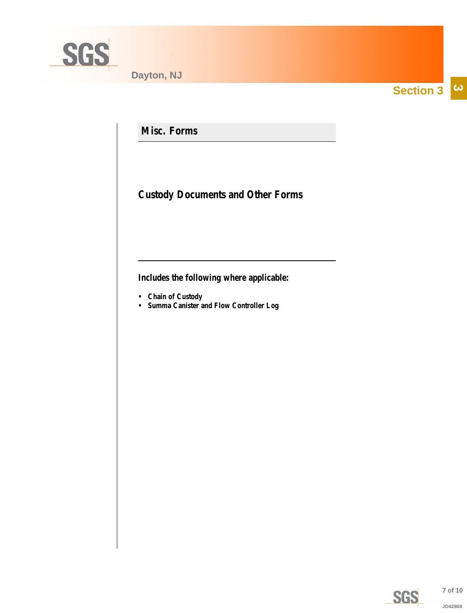<span id="page-6-0"></span>

**Section 3**  $|\boldsymbol{\omega}|$ 

**Misc. Forms**

**Custody Documents and Other Forms**

**Includes the following where applicable:**

- **Chain of Custody**
- **Summa Canister and Flow Controller Log**



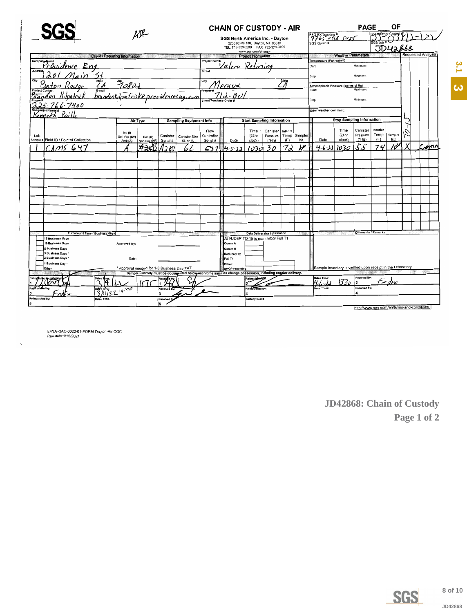<span id="page-7-0"></span>

| <b>SG</b>                                                      |                                                            | AIR                                                                 |            |                                |                     | <b>CHAIN OF CUSTODY - AIR</b>                                                                            |                                                 |                                     |                          |                |                                                             |                                  | <b>PAGE</b>               |                                          | ΟF                 |         |                           |  |
|----------------------------------------------------------------|------------------------------------------------------------|---------------------------------------------------------------------|------------|--------------------------------|---------------------|----------------------------------------------------------------------------------------------------------|-------------------------------------------------|-------------------------------------|--------------------------|----------------|-------------------------------------------------------------|----------------------------------|---------------------------|------------------------------------------|--------------------|---------|---------------------------|--|
|                                                                |                                                            | SGS North America Inc. - Dayton<br>2235 Route 130, Dayton, NJ 08810 |            |                                |                     |                                                                                                          | FEDEXTracking#<br>7765 0118 5485<br>SGS Quote # |                                     |                          | SGS Job #      |                                                             |                                  |                           |                                          |                    |         |                           |  |
|                                                                |                                                            |                                                                     |            |                                |                     | TEL. 732-329-0200 FAX 732-329-3499                                                                       | www.sgs.com/ehsusa                              |                                     |                          |                |                                                             |                                  |                           |                                          | <b>JDUA&amp;68</b> |         |                           |  |
|                                                                | <b>Client / Reporting Information</b>                      |                                                                     |            |                                |                     |                                                                                                          | <b>Project Information</b>                      |                                     |                          |                |                                                             | <b>Weather Parameters</b>        |                           |                                          |                    |         | <b>Requested Analysis</b> |  |
| <sub>companymane</sub><br>Providence Eng                       |                                                            |                                                                     |            |                                | <b>Project Name</b> | alero Retiring                                                                                           |                                                 |                                     |                          |                | Temperature (Fahrenheit)<br>Start:                          |                                  | Maximum:                  |                                          |                    |         |                           |  |
|                                                                |                                                            |                                                                     |            |                                | <b>Street</b>       |                                                                                                          |                                                 |                                     |                          |                | Stop                                                        |                                  | Minimum                   |                                          |                    |         |                           |  |
| $\underbrace{\mathcal{L} \mathcal{A}}_{E\text{-mail}}$<br>City | 70800                                                      |                                                                     |            |                                | City                | prair                                                                                                    |                                                 |                                     | $\overline{\mathscr{A}}$ |                | Atmoshpheric Pressure (inches of Hg)                        |                                  | Maximum:                  |                                          |                    |         |                           |  |
|                                                                | E <sup>small</sup><br>brandonkilpatrike providencerng, com |                                                                     |            |                                |                     |                                                                                                          |                                                 |                                     |                          |                | Start:                                                      |                                  |                           |                                          |                    |         |                           |  |
| 7400                                                           |                                                            |                                                                     |            |                                |                     |                                                                                                          |                                                 |                                     |                          |                | Stop:                                                       |                                  | Minimum                   |                                          |                    |         |                           |  |
| Kennerh                                                        |                                                            |                                                                     |            |                                |                     |                                                                                                          |                                                 |                                     |                          |                | Other weather comment:                                      |                                  |                           |                                          |                    |         |                           |  |
|                                                                |                                                            | Air Type                                                            |            | <b>Sampling Equipment Info</b> |                     |                                                                                                          | <b>Start Sampling Information</b>               |                                     |                          |                |                                                             | <b>Stop Sampling Information</b> |                           |                                          |                    |         |                           |  |
| Lab                                                            | Ind (I)<br>Soil Vap (SV)                                   | Res (R)                                                             | Canister   | <b>Canister Size</b>           | Flow<br>Controller  |                                                                                                          | Time<br>(24hr                                   | Canister<br>Pressure                | Interior<br>Temp         | <b>Sampler</b> |                                                             | Time<br>(24hr                    | Canister<br>Pressure      | Interior<br>Temp                         | Sampler            | x<br>C. |                           |  |
| Sample # Field ID / Point of Collection                        | Amb (A)                                                    | Non-Res (NR) Serial #                                               |            | 6L or 1L                       | Serial #            | Date                                                                                                     | clock)                                          | ("Ha)                               | (F)                      | Init.          | Date                                                        | clock)                           | ("Hg)                     | (F)                                      | Init.              |         |                           |  |
| CLMS 647                                                       |                                                            |                                                                     |            | lo L                           | 637                 | 4-5-12                                                                                                   | 1030                                            | 30                                  | 7.,                      |                | $4 - 6 - 22$ 1030                                           |                                  | ζ<br>تى                   | 74                                       | 'O                 |         | $\zeta$ mn                |  |
|                                                                |                                                            |                                                                     |            |                                |                     |                                                                                                          |                                                 |                                     |                          |                |                                                             |                                  |                           |                                          |                    |         |                           |  |
|                                                                |                                                            |                                                                     |            |                                |                     |                                                                                                          |                                                 |                                     |                          |                |                                                             |                                  |                           |                                          |                    |         |                           |  |
|                                                                |                                                            |                                                                     |            |                                |                     |                                                                                                          |                                                 |                                     |                          |                |                                                             |                                  |                           |                                          |                    |         |                           |  |
|                                                                |                                                            |                                                                     |            |                                |                     |                                                                                                          |                                                 |                                     |                          |                |                                                             |                                  |                           |                                          |                    |         |                           |  |
|                                                                |                                                            |                                                                     |            |                                |                     |                                                                                                          |                                                 |                                     |                          |                |                                                             |                                  |                           |                                          |                    |         |                           |  |
|                                                                |                                                            |                                                                     |            |                                |                     |                                                                                                          |                                                 |                                     |                          |                |                                                             |                                  |                           |                                          |                    |         |                           |  |
|                                                                |                                                            |                                                                     |            |                                |                     |                                                                                                          |                                                 |                                     |                          |                |                                                             |                                  |                           |                                          |                    |         |                           |  |
|                                                                |                                                            |                                                                     |            |                                |                     |                                                                                                          |                                                 |                                     |                          |                |                                                             |                                  |                           |                                          |                    |         |                           |  |
|                                                                |                                                            |                                                                     |            |                                |                     |                                                                                                          |                                                 | <b>Data Deliverable Information</b> |                          |                |                                                             |                                  | <b>Comments / Remarks</b> |                                          |                    |         |                           |  |
| <b>Turnaround Time (Business days)</b><br>15 Business Days     |                                                            |                                                                     |            |                                |                     | All NJDEP TO-15 is mandatory Full T1                                                                     |                                                 |                                     |                          |                |                                                             |                                  |                           |                                          |                    |         |                           |  |
| 10 Business Days                                               | Approved By:                                               |                                                                     |            |                                |                     | Comm A                                                                                                   |                                                 |                                     |                          |                |                                                             |                                  |                           |                                          |                    |         |                           |  |
| 5 Business Days<br>3 Business Days                             |                                                            |                                                                     |            |                                |                     | Comm B<br>Reduced T2                                                                                     |                                                 |                                     |                          |                |                                                             |                                  |                           |                                          |                    |         |                           |  |
| 2 Business Days                                                | Date:                                                      |                                                                     |            |                                |                     | Full T1                                                                                                  |                                                 |                                     |                          |                |                                                             |                                  |                           |                                          |                    |         |                           |  |
| 1 Business Day<br>Other                                        |                                                            | * Approval needed for 1-3 Business Day TAT                          |            |                                |                     | Other:<br><b>DKQP</b> reporting                                                                          |                                                 |                                     |                          |                | Sample inventory is verified upon receipt in the Laboratory |                                  |                           |                                          |                    |         |                           |  |
|                                                                |                                                            |                                                                     |            |                                |                     | Sample Custody must be documented below each time samples change possession, including courier delivery. |                                                 |                                     |                          |                | Date / Time:                                                |                                  | Received By:              |                                          |                    |         |                           |  |
| Date /<br>Ē                                                    |                                                            |                                                                     |            |                                |                     |                                                                                                          |                                                 |                                     |                          |                | $\overline{\phantom{a}}$                                    | 1330                             | 12                        |                                          | $\epsilon$         |         |                           |  |
| $\frac{1}{2}$                                                  | .0700                                                      |                                                                     | Received B |                                |                     |                                                                                                          | naulshed By:                                    |                                     |                          |                | Date / Time:                                                |                                  | Received By:<br>l4.       |                                          |                    |         |                           |  |
| Relinquished by:                                               |                                                            |                                                                     | Received E |                                |                     |                                                                                                          | <b>Custody Seal #</b>                           |                                     |                          |                |                                                             |                                  |                           |                                          |                    |         |                           |  |
| l5                                                             |                                                            |                                                                     | 5          |                                |                     |                                                                                                          |                                                 |                                     |                          |                |                                                             |                                  |                           | the live are com/en/terms-and-conditions |                    |         |                           |  |

EHSA-QAC-0022-01-FORM-Dayton-Air COC<br>Rev.date:1/15/2021

JD42868: Chain of Custody Page 1 of 2



8 of 10

JD42868

3.1 3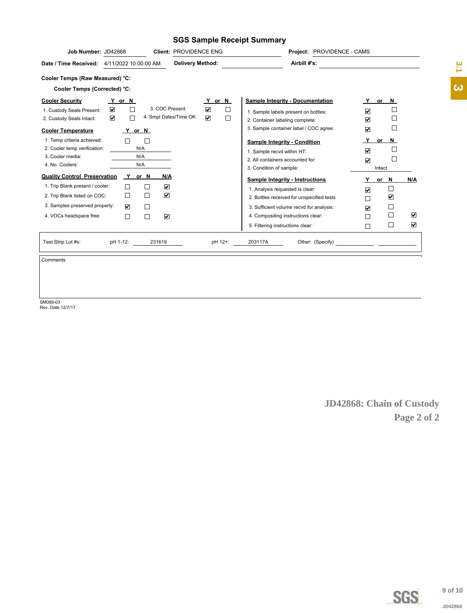#### **SGS Sample Receipt Summary**

| Airbill #'s:<br><b>Delivery Method:</b><br>4/11/2022 10:00:00 AM<br>Cooler Temps (Corrected) °C:<br><b>Sample Integrity - Documentation</b><br>Y or N<br>Y or N<br>Y or N<br>3. COC Present:<br>$\overline{\mathbf{v}}$<br>$\Box$<br>☑<br>1. Custody Seals Present:<br>☑<br>1. Sample labels present on bottles:<br>4. Smpl Dates/Time OK<br>☑<br>☑<br>$\Box$<br>$\Box$<br>П<br>2. Custody Seals Intact:<br>☑<br>2. Container labeling complete:<br>$\Box$<br>3. Sample container label / COC agree:<br>☑<br>Y or N<br>1. Temp criteria achieved:<br>Y.<br>or $N$<br>□<br><b>Sample Integrity - Condition</b><br>2. Cooler temp verification:<br>N/A<br>$\sqcup$<br>☑<br>1. Sample recvd within HT:<br>3. Cooler media:<br>N/A<br>$\Box$<br>2. All containers accounted for:<br>$\overline{\mathbf{v}}$<br>N/A<br>4. No. Coolers:<br>3. Condition of sample:<br>Intact<br>Y<br><b>Quality Control Preservation</b><br>N/A<br>or N<br><b>Sample Integrity - Instructions</b><br>or N<br>N/A<br>1. Trip Blank present / cooler:<br>☑<br>□<br>$\Box$<br>1. Analysis requested is clear:<br>⊽<br>$\overline{\mathbf{v}}$<br>□<br>2. Trip Blank listed on COC:<br>☑<br>2. Bottles received for unspecified tests<br>$\Box$<br>3. Samples preserved properly:<br>☑<br>$\Box$<br>3. Sufficient volume recvd for analysis:<br>☑<br>П<br>$\overline{\mathbf{v}}$<br>$\Box$<br>☑<br>П<br>4. VOCs headspace free:<br>4. Compositing instructions clear:<br>$\overline{\mathbf{v}}$<br>⊔<br>5. Filtering instructions clear:<br>П<br>pH 1-12:<br>Other: (Specify)<br>Test Strip Lot #s:<br>231619<br>pH 12+:<br>203117A<br><u> 1989 - Jan Barbara Barat, prima prima prima prima prima prima prima prima prima prima prima prima prima prim</u> | Job Number: JD42868<br><b>Client: PROVIDENCE ENG</b> | Project: PROVIDENCE - CAMS |  |
|-------------------------------------------------------------------------------------------------------------------------------------------------------------------------------------------------------------------------------------------------------------------------------------------------------------------------------------------------------------------------------------------------------------------------------------------------------------------------------------------------------------------------------------------------------------------------------------------------------------------------------------------------------------------------------------------------------------------------------------------------------------------------------------------------------------------------------------------------------------------------------------------------------------------------------------------------------------------------------------------------------------------------------------------------------------------------------------------------------------------------------------------------------------------------------------------------------------------------------------------------------------------------------------------------------------------------------------------------------------------------------------------------------------------------------------------------------------------------------------------------------------------------------------------------------------------------------------------------------------------------------------------------------------------------------------------------------------------------------------|------------------------------------------------------|----------------------------|--|
|                                                                                                                                                                                                                                                                                                                                                                                                                                                                                                                                                                                                                                                                                                                                                                                                                                                                                                                                                                                                                                                                                                                                                                                                                                                                                                                                                                                                                                                                                                                                                                                                                                                                                                                                     | Date / Time Received:                                |                            |  |
|                                                                                                                                                                                                                                                                                                                                                                                                                                                                                                                                                                                                                                                                                                                                                                                                                                                                                                                                                                                                                                                                                                                                                                                                                                                                                                                                                                                                                                                                                                                                                                                                                                                                                                                                     | Cooler Temps (Raw Measured) °C:                      |                            |  |
|                                                                                                                                                                                                                                                                                                                                                                                                                                                                                                                                                                                                                                                                                                                                                                                                                                                                                                                                                                                                                                                                                                                                                                                                                                                                                                                                                                                                                                                                                                                                                                                                                                                                                                                                     |                                                      |                            |  |
|                                                                                                                                                                                                                                                                                                                                                                                                                                                                                                                                                                                                                                                                                                                                                                                                                                                                                                                                                                                                                                                                                                                                                                                                                                                                                                                                                                                                                                                                                                                                                                                                                                                                                                                                     | <b>Cooler Security</b><br><b>Cooler Temperature</b>  |                            |  |
|                                                                                                                                                                                                                                                                                                                                                                                                                                                                                                                                                                                                                                                                                                                                                                                                                                                                                                                                                                                                                                                                                                                                                                                                                                                                                                                                                                                                                                                                                                                                                                                                                                                                                                                                     |                                                      |                            |  |
|                                                                                                                                                                                                                                                                                                                                                                                                                                                                                                                                                                                                                                                                                                                                                                                                                                                                                                                                                                                                                                                                                                                                                                                                                                                                                                                                                                                                                                                                                                                                                                                                                                                                                                                                     |                                                      |                            |  |
|                                                                                                                                                                                                                                                                                                                                                                                                                                                                                                                                                                                                                                                                                                                                                                                                                                                                                                                                                                                                                                                                                                                                                                                                                                                                                                                                                                                                                                                                                                                                                                                                                                                                                                                                     |                                                      |                            |  |

Comments

SM089-03 Rev. Date 12/7/17

**JD42868: Chain of Custody Page 2 of 2**



**4.[3](#page-1-0)**<br>**3** of 10<br>JD42868 JD42868